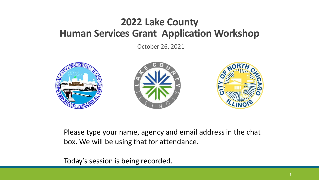October 26, 2021



Please type your name, agency and email address in the chat box. We will be using that for attendance.

Today's session is being recorded.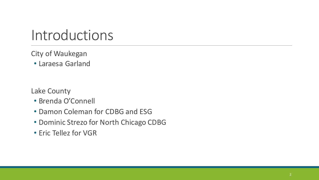# Introductions

### City of Waukegan

• Laraesa Garland

Lake County

- Brenda O'Connell
- Damon Coleman for CDBG and ESG
- Dominic Strezo for North Chicago CDBG
- Eric Tellez for VGR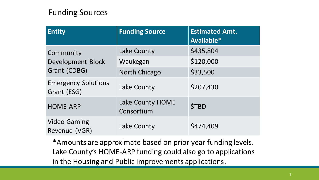### Funding Sources

| <b>Entity</b>                             | <b>Funding Source</b>          | <b>Estimated Amt.</b><br>Available* |
|-------------------------------------------|--------------------------------|-------------------------------------|
| Community                                 | Lake County                    | \$435,804                           |
| <b>Development Block</b>                  | Waukegan                       | \$120,000                           |
| Grant (CDBG)                              | <b>North Chicago</b>           | \$33,500                            |
| <b>Emergency Solutions</b><br>Grant (ESG) | Lake County                    | \$207,430                           |
| <b>HOME-ARP</b>                           | Lake County HOME<br>Consortium | <b>\$TBD</b>                        |
| <b>Video Gaming</b><br>Revenue (VGR)      | Lake County                    | \$474,409                           |

\*Amounts are approximate based on prior year funding levels. Lake County's HOME-ARP funding could also go to applications in the Housing and Public Improvements applications.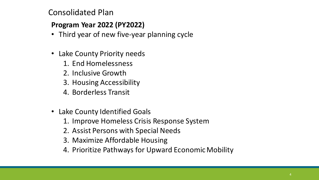### Consolidated Plan

#### **Program Year 2022 (PY2022)**

- Third year of new five-year planning cycle
- Lake County Priority needs
	- 1. End Homelessness
	- 2. Inclusive Growth
	- 3. Housing Accessibility
	- 4. Borderless Transit
- Lake County Identified Goals
	- 1. Improve Homeless Crisis Response System
	- 2. Assist Persons with Special Needs
	- 3. Maximize Affordable Housing
	- 4. Prioritize Pathways for Upward Economic Mobility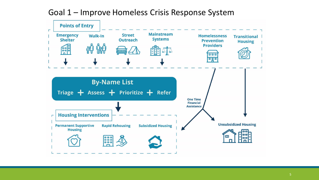Goal 1 – Improve Homeless Crisis Response System

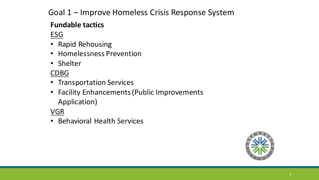### Goal 1 – Improve Homeless Crisis Response System

### **Fundable tactics**

ESG

- Rapid Rehousing
- Homelessness Prevention
- Shelter

### CDBG

- Transportation Services
- Facility Enhancements (Public Improvements Application)

VGR

• Behavioral Health Services

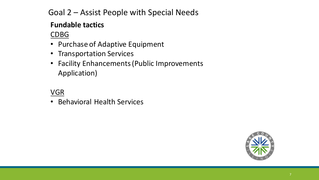### Goal 2 – Assist People with Special Needs

### **Fundable tactics**

### CDBG

- Purchase of Adaptive Equipment
- Transportation Services
- Facility Enhancements (Public Improvements Application)

### VGR

• Behavioral Health Services

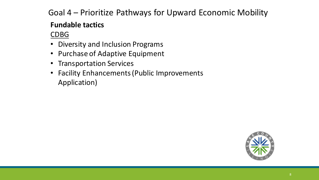### Goal 4 – Prioritize Pathways for Upward Economic Mobility

### **Fundable tactics**

### CDBG

- Diversity and Inclusion Programs
- Purchase of Adaptive Equipment
- Transportation Services
- Facility Enhancements (Public Improvements Application)

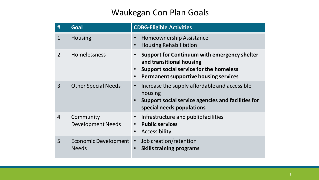### Waukegan Con Plan Goals

| #              | Goal                                        | <b>CDBG-Eligible Activities</b>                                                                                                                                                                            |
|----------------|---------------------------------------------|------------------------------------------------------------------------------------------------------------------------------------------------------------------------------------------------------------|
| $\mathbf{1}$   | <b>Housing</b>                              | <b>Homeownership Assistance</b><br>$\bullet$<br><b>Housing Rehabilitation</b><br>$\bullet$                                                                                                                 |
| $\overline{2}$ | Homelessness                                | Support for Continuum with emergency shelter<br>$\bullet$<br>and transitional housing<br>Support social service for the homeless<br>$\bullet$<br><b>Permanent supportive housing services</b><br>$\bullet$ |
| $\overline{3}$ | <b>Other Special Needs</b>                  | Increase the supply affordable and accessible<br>$\bullet$<br>housing<br>Support social service agencies and facilities for<br>$\bullet$<br>special needs populations                                      |
| $\overline{4}$ | Community<br><b>Development Needs</b>       | Infrastructure and public facilities<br>$\bullet$<br><b>Public services</b><br>$\bullet$<br>Accessibility<br>$\bullet$                                                                                     |
| 5              | <b>Economic Development</b><br><b>Needs</b> | Job creation/retention<br>$\bullet$<br><b>Skills training programs</b><br>$\bullet$                                                                                                                        |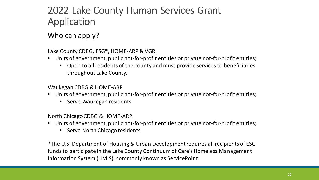#### Who can apply?

#### Lake County CDBG, ESG\*, HOME-ARP & VGR

- Units of government, public not-for-profit entities or private not-for-profit entities;
	- Open to all residents of the county and must provide services to beneficiaries throughout Lake County.

#### Waukegan CDBG & HOME-ARP

- Units of government, public not-for-profit entities or private not-for-profit entities;
	- Serve Waukegan residents

#### North Chicago CDBG & HOME-ARP

- Units of government, public not-for-profit entities or private not-for-profit entities;
	- Serve North Chicago residents

\*The U.S. Department of Housing & Urban Development requires all recipients of ESG funds to participate in the Lake County Continuum of Care's Homeless Management Information System (HMIS), commonly known as ServicePoint.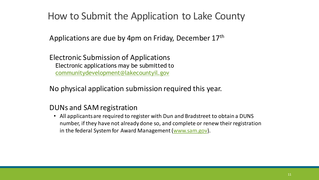### How to Submit the Application to Lake County

Applications are due by 4pm on Friday, December 17th

Electronic Submission of Applications Electronic applications may be submitted to [communitydevelopment@lakecountyil.gov](mailto:communitydevelopment@lakecountyil.gov)

No physical application submission required this year.

#### DUNs and SAM registration

• All applicants are required to register with Dun and Bradstreet to obtain a DUNS number, if they have not already done so, and complete or renew their registration in the federal System for Award Management ([www.sam.gov](http://www.sam.gov/)).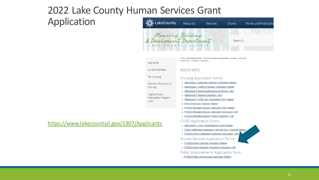## 2022 Lake County Human Services Grant

Application



#### <https://www.lakecountyil.gov/1907/Applicants>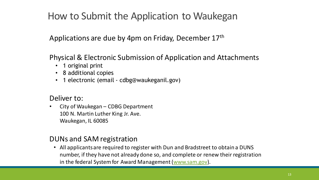### How to Submit the Application to Waukegan

Applications are due by 4pm on Friday, December 17th

Physical & Electronic Submission of Application and Attachments

- 1 original print
- 8 additional copies
- 1 electronic (email cdbg@waukeganil.gov)

#### Deliver to:

• City of Waukegan – CDBG Department 100 N. Martin Luther King Jr. Ave. Waukegan, IL 60085

#### DUNs and SAM registration

• All applicants are required to register with Dun and Bradstreet to obtain a DUNS number, if they have not already done so, and complete or renew their registration in the federal System for Award Management ([www.sam.gov](http://www.sam.gov/)).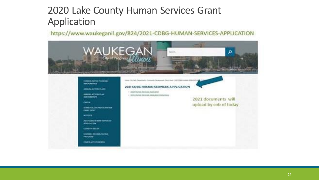<https://www.waukeganil.gov/824/2020-CDBG-HUMAN-SERVICES-APPLICATION>

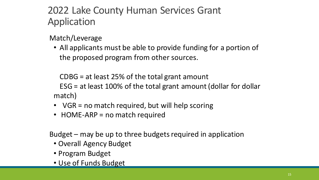Match/Leverage

• All applicants must be able to provide funding for a portion of the proposed program from other sources.

CDBG = at least 25% of the total grant amount ESG = at least 100% of the total grant amount (dollar for dollar match)

- VGR = no match required, but will help scoring
- HOME-ARP = no match required

Budget – may be up to three budgets required in application

- Overall Agency Budget
- Program Budget
- Use of Funds Budget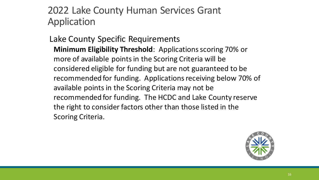Lake County Specific Requirements **Minimum Eligibility Threshold**: Applications scoring 70% or more of available points in the Scoring Criteria will be considered eligible for funding but are not guaranteed to be recommended for funding. Applications receiving below 70% of available points in the Scoring Criteria may not be recommended for funding. The HCDC and Lake County reserve the right to consider factors other than those listed in the Scoring Criteria.

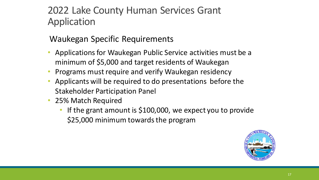### Waukegan Specific Requirements

- Applications for Waukegan Public Service activities must be a minimum of \$5,000 and target residents of Waukegan
- Programs must require and verify Waukegan residency
- Applicants will be required to do presentations before the Stakeholder Participation Panel
- 25% Match Required
	- If the grant amount is  $$100,000$ , we expect you to provide \$25,000 minimum towards the program

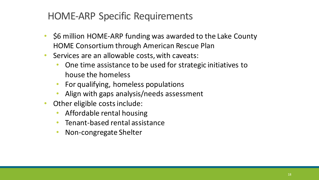### HOME-ARP Specific Requirements

- \$6 million HOME-ARP funding was awarded to the Lake County HOME Consortium through American Rescue Plan
- Services are an allowable costs, with caveats:
	- One time assistance to be used for strategic initiatives to house the homeless
	- For qualifying, homeless populations
	- Align with gaps analysis/needs assessment
- Other eligible costs include:
	- Affordable rental housing
	- Tenant-based rental assistance
	- Non-congregate Shelter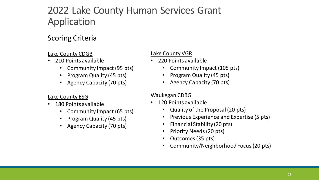#### Scoring Criteria

#### Lake County CDGB

- 210 Points available
	- Community Impact (95 pts)
	- Program Quality (45 pts)
	- Agency Capacity (70 pts)

#### Lake County ESG

- 180 Points available
	- Community Impact (65 pts)
	- Program Quality (45 pts)
	- Agency Capacity (70 pts)

#### Lake County VGR

- 220 Points available
	- Community Impact (105 pts)
	- Program Quality (45 pts)
	- Agency Capacity (70 pts)

#### Waukegan CDBG

- 120 Points available
	- Quality of the Proposal (20 pts)
	- Previous Experience and Expertise (5 pts)
	- Financial Stability (20 pts)
	- Priority Needs (20 pts)
	- Outcomes (35 pts)
	- Community/Neighborhood Focus (20 pts)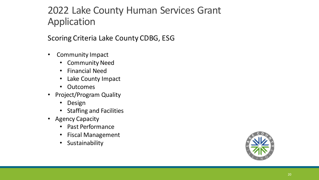Scoring Criteria Lake County CDBG, ESG

- Community Impact
	- Community Need
	- Financial Need
	- Lake County Impact
	- Outcomes
- Project/Program Quality
	- Design
	- Staffing and Facilities
- Agency Capacity
	- Past Performance
	- Fiscal Management
	- **Sustainability**

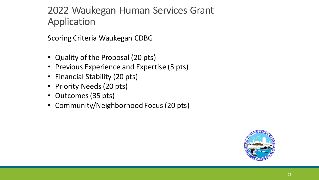## 2022 Waukegan Human Services Grant Application

Scoring Criteria Waukegan CDBG

- Quality of the Proposal (20 pts)
- Previous Experience and Expertise (5 pts)
- Financial Stability (20 pts)
- Priority Needs (20 pts)
- Outcomes (35 pts)
- Community/Neighborhood Focus (20 pts)

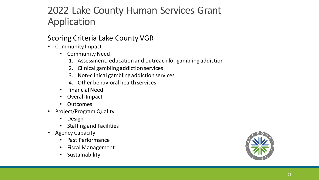#### Scoring Criteria Lake County VGR

- Community Impact
	- Community Need
		- 1. Assessment, education and outreach for gambling addiction
		- 2. Clinical gambling addiction services
		- 3. Non-clinical gambling addiction services
		- 4. Other behavioral health services
	- Financial Need
	- Overall Impact
	- Outcomes
- Project/Program Quality
	- Design
	- Staffing and Facilities
- Agency Capacity
	- Past Performance
	- Fiscal Management
	- **Sustainability**

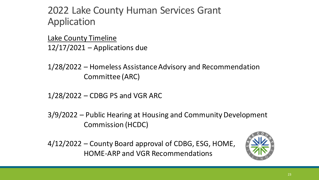Lake County Timeline  $12/17/2021$  – Applications due

1/28/2022 – Homeless Assistance Advisory and Recommendation Committee (ARC)

1/28/2022 – CDBG PS and VGR ARC

3/9/2022 – Public Hearing at Housing and Community Development Commission (HCDC)

4/12/2022 – County Board approval of CDBG, ESG, HOME, HOME-ARP and VGR Recommendations

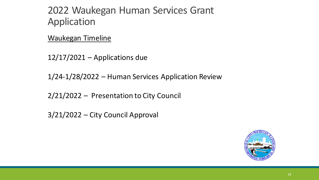### 2022 Waukegan Human Services Grant Application

Waukegan Timeline

 $12/17/2021$  – Applications due

1/24-1/28/2022 – Human Services Application Review

2/21/2022 – Presentation to City Council

3/21/2022 – City Council Approval